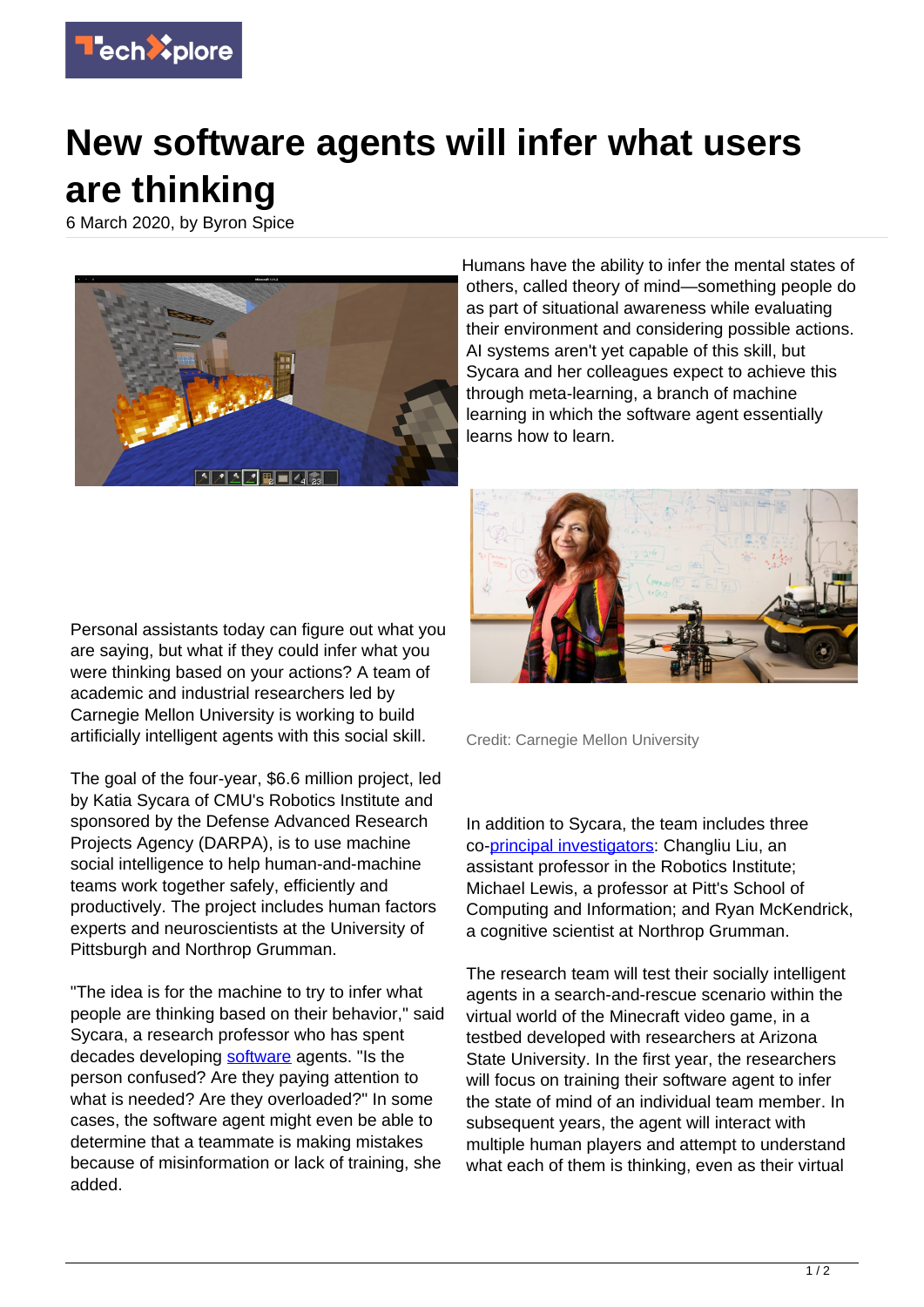

## **New software agents will infer what users are thinking**

6 March 2020, by Byron Spice



Humans have the ability to infer the mental states of others, called theory of mind—something people do as part of situational awareness while evaluating their environment and considering possible actions. AI systems aren't yet capable of this skill, but Sycara and her colleagues expect to achieve this through meta-learning, a branch of machine learning in which the software agent essentially learns how to learn.

Personal assistants today can figure out what you are saying, but what if they could infer what you were thinking based on your actions? A team of academic and industrial researchers led by Carnegie Mellon University is working to build artificially intelligent agents with this social skill.

The goal of the four-year, \$6.6 million project, led by Katia Sycara of CMU's Robotics Institute and sponsored by the Defense Advanced Research Projects Agency (DARPA), is to use machine social intelligence to help human-and-machine teams work together safely, efficiently and productively. The project includes human factors experts and neuroscientists at the University of Pittsburgh and Northrop Grumman.

"The idea is for the machine to try to infer what people are thinking based on their behavior," said Sycara, a research professor who has spent decades developing [software](https://techxplore.com/tags/software/) agents. "Is the person confused? Are they paying attention to what is needed? Are they overloaded?" In some cases, the software agent might even be able to determine that a teammate is making mistakes because of misinformation or lack of training, she added.



Credit: Carnegie Mellon University

In addition to Sycara, the team includes three co-[principal investigators:](https://techxplore.com/tags/principal+investigators/) Changliu Liu, an assistant professor in the Robotics Institute; Michael Lewis, a professor at Pitt's School of Computing and Information; and Ryan McKendrick, a cognitive scientist at Northrop Grumman.

The research team will test their socially intelligent agents in a search-and-rescue scenario within the virtual world of the Minecraft video game, in a testbed developed with researchers at Arizona State University. In the first year, the researchers will focus on training their software agent to infer the state of mind of an individual team member. In subsequent years, the agent will interact with multiple human players and attempt to understand what each of them is thinking, even as their virtual